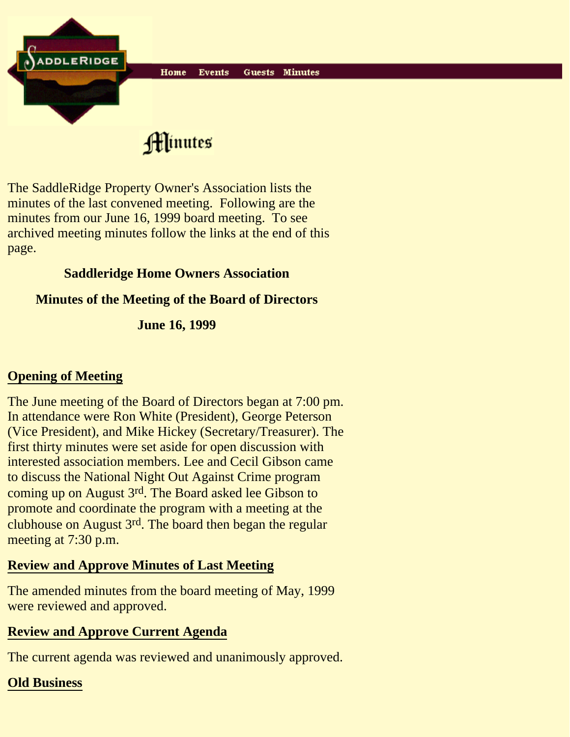

Hinutes

The SaddleRidge Property Owner's Association lists the minutes of the last convened meeting. Following are the minutes from our June 16, 1999 board meeting. To see archived meeting minutes follow the links at the end of this page.

## **Saddleridge Home Owners Association**

## **Minutes of the Meeting of the Board of Directors**

**June 16, 1999**

# **Opening of Meeting**

The June meeting of the Board of Directors began at 7:00 pm. In attendance were Ron White (President), George Peterson (Vice President), and Mike Hickey (Secretary/Treasurer). The first thirty minutes were set aside for open discussion with interested association members. Lee and Cecil Gibson came to discuss the National Night Out Against Crime program coming up on August 3rd. The Board asked lee Gibson to promote and coordinate the program with a meeting at the clubhouse on August 3rd. The board then began the regular meeting at 7:30 p.m.

# **Review and Approve Minutes of Last Meeting**

The amended minutes from the board meeting of May, 1999 were reviewed and approved.

# **Review and Approve Current Agenda**

The current agenda was reviewed and unanimously approved.

# **Old Business**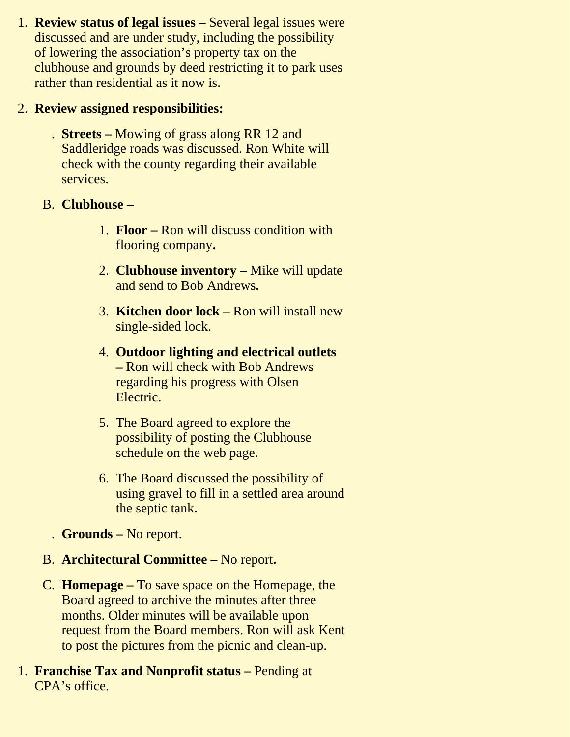1. **Review status of legal issues** - Several legal issues were discussed and are under study, including the possibility of lowering the association's property tax on the clubhouse and grounds by deed restricting it to park uses rather than residential as it now is.

### 2. **Review assigned responsibilities:**

**Streets –** Mowing of grass along RR 12 and . Saddleridge roads was discussed. Ron White will check with the county regarding their available services.

### B. **Clubhouse –**

- 1. Floor Ron will discuss condition with flooring company**.**
- **Clubhouse inventory** Mike will update 2. and send to Bob Andrews**.**
- 3. **Kitchen door lock Ron will install new** single-sided lock.
- **Outdoor lighting and electrical outlets** 4. **–** Ron will check with Bob Andrews regarding his progress with Olsen Electric.
- 5. The Board agreed to explore the possibility of posting the Clubhouse schedule on the web page.
- The Board discussed the possibility of 6. using gravel to fill in a settled area around the septic tank.
- . **Grounds** No report.
- B. **Architectural Committee** No report**.**
- **Homepage** To save space on the Homepage, the C. Board agreed to archive the minutes after three months. Older minutes will be available upon request from the Board members. Ron will ask Kent to post the pictures from the picnic and clean-up.
- 1. Franchise Tax and Nonprofit status Pending at CPA's office.